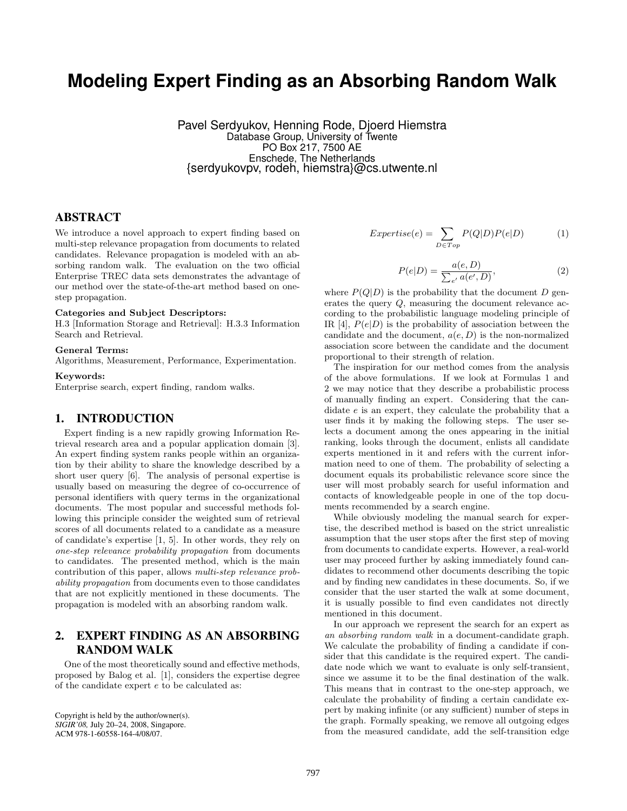# **Modeling Expert Finding as an Absorbing Random Walk**

Pavel Serdyukov, Henning Rode, Djoerd Hiemstra Database Group, University of Twente PO Box 217, 7500 AE Enschede, The Netherlands {serdyukovpv, rodeh, hiemstra}@cs.utwente.nl

# ABSTRACT

We introduce a novel approach to expert finding based on multi-step relevance propagation from documents to related candidates. Relevance propagation is modeled with an absorbing random walk. The evaluation on the two official Enterprise TREC data sets demonstrates the advantage of our method over the state-of-the-art method based on onestep propagation.

#### Categories and Subject Descriptors:

H.3 [Information Storage and Retrieval]: H.3.3 Information Search and Retrieval.

#### General Terms:

Algorithms, Measurement, Performance, Experimentation.

#### Keywords:

Enterprise search, expert finding, random walks.

## 1. INTRODUCTION

Expert finding is a new rapidly growing Information Retrieval research area and a popular application domain [3]. An expert finding system ranks people within an organization by their ability to share the knowledge described by a short user query [6]. The analysis of personal expertise is usually based on measuring the degree of co-occurrence of personal identifiers with query terms in the organizational documents. The most popular and successful methods following this principle consider the weighted sum of retrieval scores of all documents related to a candidate as a measure of candidate's expertise [1, 5]. In other words, they rely on one-step relevance probability propagation from documents to candidates. The presented method, which is the main contribution of this paper, allows multi-step relevance probability propagation from documents even to those candidates that are not explicitly mentioned in these documents. The propagation is modeled with an absorbing random walk.

# 2. EXPERT FINDING AS AN ABSORBING RANDOM WALK

One of the most theoretically sound and effective methods, proposed by Balog et al. [1], considers the expertise degree of the candidate expert e to be calculated as:

Copyright is held by the author/owner(s). *SIGIR'08,* July 20–24, 2008, Singapore. ACM 978-1-60558-164-4/08/07.

$$
Expertise(e) = \sum_{D \in Top} P(Q|D)P(e|D)
$$
 (1)

$$
P(e|D) = \frac{a(e, D)}{\sum_{e'} a(e', D)},
$$
\n(2)

where  $P(Q|D)$  is the probability that the document D generates the query Q, measuring the document relevance according to the probabilistic language modeling principle of IR [4],  $P(e|D)$  is the probability of association between the candidate and the document,  $a(e, D)$  is the non-normalized association score between the candidate and the document proportional to their strength of relation.

The inspiration for our method comes from the analysis of the above formulations. If we look at Formulas 1 and 2 we may notice that they describe a probabilistic process of manually finding an expert. Considering that the candidate e is an expert, they calculate the probability that a user finds it by making the following steps. The user selects a document among the ones appearing in the initial ranking, looks through the document, enlists all candidate experts mentioned in it and refers with the current information need to one of them. The probability of selecting a document equals its probabilistic relevance score since the user will most probably search for useful information and contacts of knowledgeable people in one of the top documents recommended by a search engine.

While obviously modeling the manual search for expertise, the described method is based on the strict unrealistic assumption that the user stops after the first step of moving from documents to candidate experts. However, a real-world user may proceed further by asking immediately found candidates to recommend other documents describing the topic and by finding new candidates in these documents. So, if we consider that the user started the walk at some document, it is usually possible to find even candidates not directly mentioned in this document.

In our approach we represent the search for an expert as an absorbing random walk in a document-candidate graph. We calculate the probability of finding a candidate if consider that this candidate is the required expert. The candidate node which we want to evaluate is only self-transient, since we assume it to be the final destination of the walk. This means that in contrast to the one-step approach, we calculate the probability of finding a certain candidate expert by making infinite (or any sufficient) number of steps in the graph. Formally speaking, we remove all outgoing edges from the measured candidate, add the self-transition edge